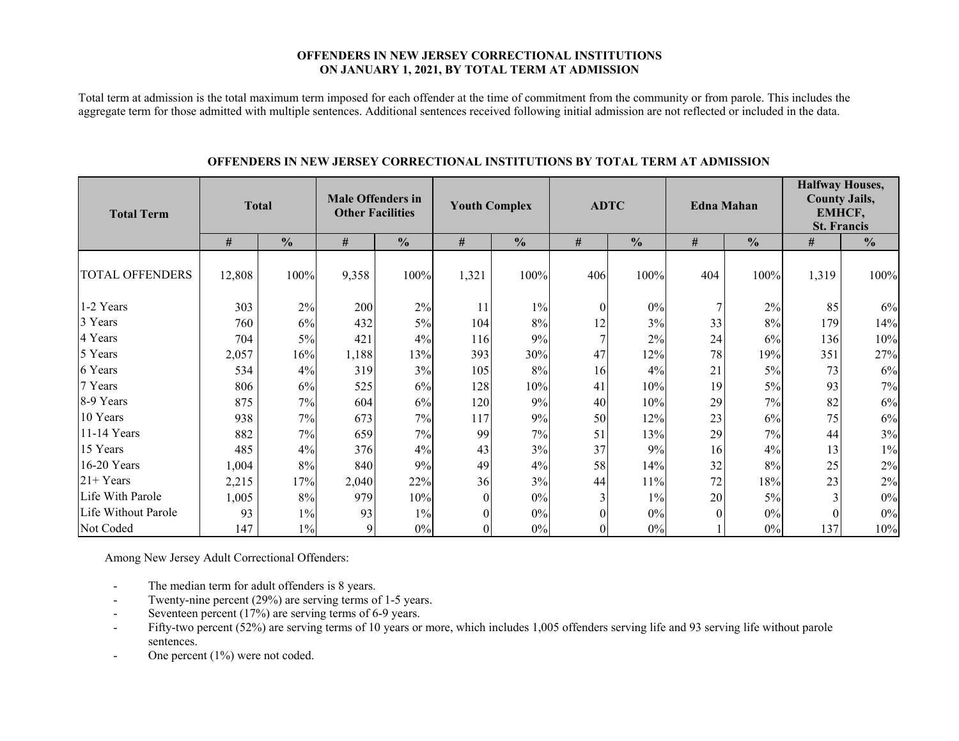#### **OFFENDERS IN NEW JERSEY CORRECTIONAL INSTITUTIONS ON JANUARY 1, 2021, BY TOTAL TERM AT ADMISSION**

Total term at admission is the total maximum term imposed for each offender at the time of commitment from the community or from parole. This includes the aggregate term for those admitted with multiple sentences. Additional sentences received following initial admission are not reflected or included in the data.

| <b>Total Term</b>      | <b>Total</b> |               | <b>Male Offenders in</b><br><b>Other Facilities</b> |               |              | <b>Youth Complex</b> |          | <b>ADTC</b>   | <b>Edna Mahan</b> |               | <b>Halfway Houses,</b><br><b>County Jails,</b><br>EMHCF,<br><b>St. Francis</b> |               |  |
|------------------------|--------------|---------------|-----------------------------------------------------|---------------|--------------|----------------------|----------|---------------|-------------------|---------------|--------------------------------------------------------------------------------|---------------|--|
|                        | #            | $\frac{0}{0}$ | $\#$                                                | $\frac{0}{0}$ | $\#$         | $\frac{0}{0}$        | #        | $\frac{0}{0}$ | $\#$              | $\frac{0}{0}$ | #                                                                              | $\frac{0}{0}$ |  |
| <b>TOTAL OFFENDERS</b> | 12,808       | 100%          | 9,358                                               | 100%          | 1,321        | 100%                 | 406      | 100%          | 404               | 100%          | 1,319                                                                          | 100%          |  |
| 1-2 Years              | 303          | $2\%$         | 200                                                 | 2%            | 11           | $1\%$                | $\theta$ | $0\%$         |                   | 2%            | 85                                                                             | 6%            |  |
| 3 Years                | 760          | 6%            | 432                                                 | 5%            | 104          | 8%                   | 12       | 3%            | 33                | 8%            | 179                                                                            | 14%           |  |
| 4 Years                | 704          | 5%            | 421                                                 | 4%            | 116          | 9%                   |          | 2%            | 24                | 6%            | 136                                                                            | 10%           |  |
| 5 Years                | 2,057        | 16%           | 1,188                                               | 13%           | 393          | 30%                  | 47       | 12%           | 78                | 19%           | 351                                                                            | 27%           |  |
| 6 Years                | 534          | 4%            | 319                                                 | 3%            | 105          | 8%                   | 16       | 4%            | 21                | 5%            | 73                                                                             | 6%            |  |
| 7 Years                | 806          | 6%            | 525                                                 | 6%            | 128          | 10%                  | 41       | 10%           | 19                | 5%            | 93                                                                             | 7%            |  |
| 8-9 Years              | 875          | 7%            | 604                                                 | 6%            | 120          | 9%                   | 40       | 10%           | 29                | 7%            | 82                                                                             | $6\%$         |  |
| 10 Years               | 938          | 7%            | 673                                                 | 7%            | 117          | 9%                   | 50       | 12%           | 23                | 6%            | 75                                                                             | $6\%$         |  |
| 11-14 Years            | 882          | 7%            | 659                                                 | 7%            | 99           | 7%                   | 51       | 13%           | 29                | 7%            | 44                                                                             | 3%            |  |
| 15 Years               | 485          | 4%            | 376                                                 | 4%            | 43           | 3%                   | 37       | 9%            | 16                | 4%            | 13                                                                             | $1\%$         |  |
| 16-20 Years            | 1,004        | $8\%$         | 840                                                 | 9%            | 49           | 4%                   | 58       | 14%           | 32                | 8%            | 25                                                                             | $2\%$         |  |
| $21+Years$             | 2,215        | 17%           | 2,040                                               | 22%           | 36           | 3%                   | 44       | 11%           | 72                | 18%           | 23                                                                             | $2\%$         |  |
| Life With Parole       | 1,005        | 8%            | 979                                                 | 10%           | $\mathbf{0}$ | 0%                   | 3        | $1\%$         | 20                | $5\%$         | 3                                                                              | 0%            |  |
| Life Without Parole    | 93           | $1\%$         | 93                                                  | $1\%$         | $\theta$     | 0%                   |          | $0\%$         | $\Omega$          | $0\%$         |                                                                                | 0%            |  |
| Not Coded              | 147          | $1\%$         | 9                                                   | 0%            | $\theta$     | 0%                   |          | 0%            |                   | 0%            | 137                                                                            | 10%           |  |

#### **OFFENDERS IN NEW JERSEY CORRECTIONAL INSTITUTIONS BY TOTAL TERM AT ADMISSION**

Among New Jersey Adult Correctional Offenders:

- The median term for adult offenders is 8 years.
- -Twenty-nine percent (29%) are serving terms of 1-5 years.
- -Seventeen percent (17%) are serving terms of 6-9 years.
- -Fifty-two percent (52%) are serving terms of 10 years or more, which includes 1,005 offenders serving life and 93 serving life without parole sentences.
- -One percent (1%) were not coded.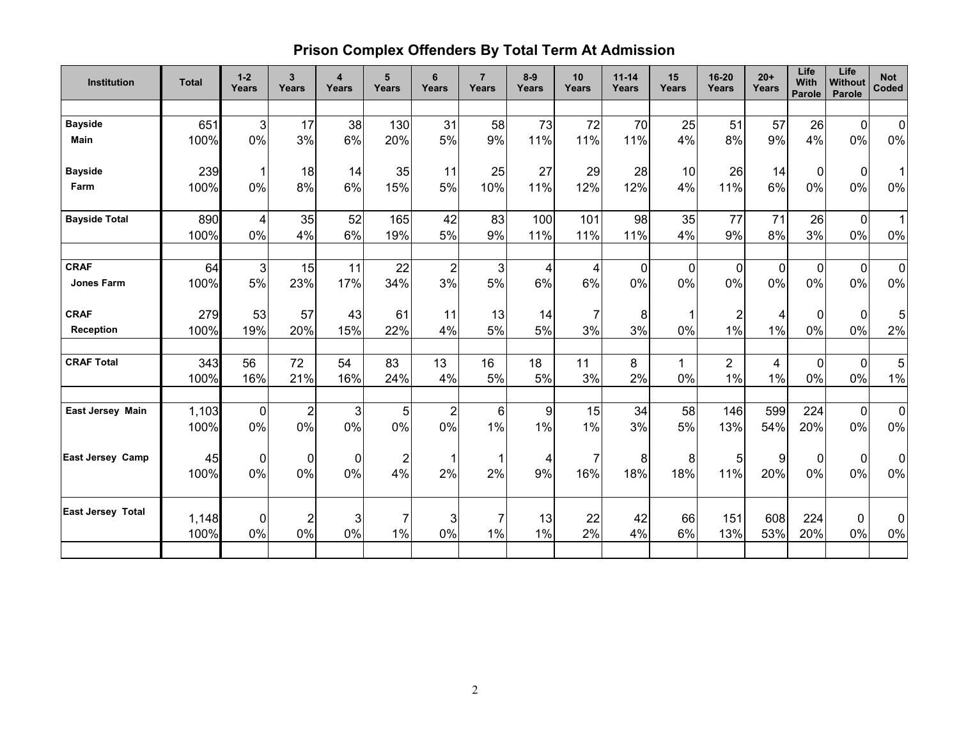# **Prison Complex Offenders By Total Term At Admission**

| <b>Institution</b>       | <b>Total</b> | $1 - 2$<br>Years | $\overline{\mathbf{3}}$<br>Years | $\overline{\mathbf{4}}$<br>Years | 5<br>Years              | 6<br>Years       | $\overline{7}$<br>Years | $8 - 9$<br>Years | 10<br><b>Years</b> | $11 - 14$<br>Years | 15<br>Years    | 16-20<br>Years | $20+$<br>Years | Life<br>With<br>Parole | Life<br><b>Without</b><br>Parole | <b>Not</b><br>Coded |
|--------------------------|--------------|------------------|----------------------------------|----------------------------------|-------------------------|------------------|-------------------------|------------------|--------------------|--------------------|----------------|----------------|----------------|------------------------|----------------------------------|---------------------|
|                          |              |                  |                                  |                                  |                         |                  |                         |                  |                    |                    |                |                |                |                        |                                  |                     |
| <b>Bayside</b>           | 651          | $\mathfrak{B}$   | 17                               | 38                               | 130                     | 31               | 58                      | 73               | 72                 | 70                 | 25             | 51             | 57             | 26                     | $\mathbf 0$                      | $\mathbf 0$         |
| <b>Main</b>              | 100%         | 0%               | 3%                               | 6%                               | 20%                     | 5%               | 9%                      | 11%              | 11%                | 11%                | 4%             | 8%             | 9%             | 4%                     | 0%                               | 0%                  |
| <b>Bayside</b>           | 239          | 1                | 18                               | 14                               | 35                      | 11               | 25                      | 27               | 29                 | 28                 | 10             | 26             | 14             | $\mathbf 0$            | $\mathbf 0$                      | 1                   |
| Farm                     | 100%         | 0%               | 8%                               | 6%                               | 15%                     | 5%               | 10%                     | 11%              | 12%                | 12%                | 4%             | 11%            | 6%             | 0%                     | 0%                               | 0%                  |
| <b>Bayside Total</b>     | 890          | 4                | 35                               | 52                               | 165                     | 42               | 83                      | 100              | 101                | 98                 | 35             | 77             | 71             | 26                     | $\mathbf 0$                      | $\mathbf{1}$        |
|                          | 100%         | 0%               | 4%                               | 6%                               | 19%                     | 5%               | 9%                      | 11%              | 11%                | 11%                | 4%             | 9%             | 8%             | 3%                     | 0%                               | 0%                  |
| <b>CRAF</b>              | 64           | $\mathfrak{B}$   | 15                               | 11                               | 22                      | $\boldsymbol{2}$ | 3                       | 4                | 4                  | $\mathbf 0$        | $\overline{0}$ | $\Omega$       | $\overline{0}$ | $\mathbf 0$            | $\overline{0}$                   | $\mathbf 0$         |
| <b>Jones Farm</b>        | 100%         | 5%               | 23%                              | 17%                              | 34%                     | 3%               | 5%                      | 6%               | 6%                 | 0%                 | 0%             | 0%             | $0\%$          | 0%                     | 0%                               | 0%                  |
| <b>CRAF</b>              | 279          | 53               | 57                               | 43                               | 61                      | 11               | 13                      | 14               | $\overline{7}$     | 8                  |                | $\overline{2}$ | 4              | 0                      | $\mathbf 0$                      | 5                   |
| <b>Reception</b>         | 100%         | 19%              | 20%                              | 15%                              | 22%                     | 4%               | 5%                      | 5%               | 3%                 | 3%                 | 0%             | 1%             | 1%             | 0%                     | 0%                               | 2%                  |
| <b>CRAF Total</b>        | 343          | 56               | 72                               | 54                               | 83                      | 13               | 16                      | 18               | 11                 | 8                  | 1              | $\overline{2}$ | 4              | $\overline{0}$         | $\overline{0}$                   | 5                   |
|                          | 100%         | 16%              | 21%                              | 16%                              | 24%                     | 4%               | 5%                      | 5%               | 3%                 | 2%                 | 0%             | 1%             | 1%             | 0%                     | 0%                               | 1%                  |
| East Jersey Main         | 1,103        | $\mathbf 0$      | $\overline{\mathbf{c}}$          | 3                                | 5                       | $\mathbf 2$      | 6                       | 9                | 15                 | 34                 | 58             | 146            | 599            | 224                    | $\mathbf 0$                      | $\mathbf 0$         |
|                          | 100%         | 0%               | 0%                               | 0%                               | 0%                      | 0%               | 1%                      | 1%               | 1%                 | 3%                 | 5%             | 13%            | 54%            | 20%                    | 0%                               | 0%                  |
| <b>East Jersey Camp</b>  | 45           | 0                | 0                                | $\mathbf 0$                      | $\overline{\mathbf{c}}$ | $\mathbf 1$      | 1                       | 4                | $\overline{7}$     | 8                  | 8              | 5 <sub>l</sub> | 9              | $\mathbf 0$            | $\mathbf 0$                      | $\mathbf 0$         |
|                          | 100%         | 0%               | 0%                               | $0\%$                            | 4%                      | 2%               | 2%                      | 9%               | 16%                | 18%                | 18%            | 11%            | 20%            | 0%                     | 0%                               | 0%                  |
| <b>East Jersey Total</b> | 1,148        | $\pmb{0}$        | $\overline{\mathbf{c}}$          | 3                                | $\overline{7}$          | $\mathbf{3}$     | 7                       | 13               | 22                 | 42                 | 66             | 151            | 608            | 224                    | $\pmb{0}$                        | 0                   |
|                          | 100%         | 0%               | 0%                               | 0%                               | 1%                      | 0%               | 1%                      | 1%               | 2%                 | 4%                 | 6%             | 13%            | 53%            | 20%                    | 0%                               | 0%                  |
|                          |              |                  |                                  |                                  |                         |                  |                         |                  |                    |                    |                |                |                |                        |                                  |                     |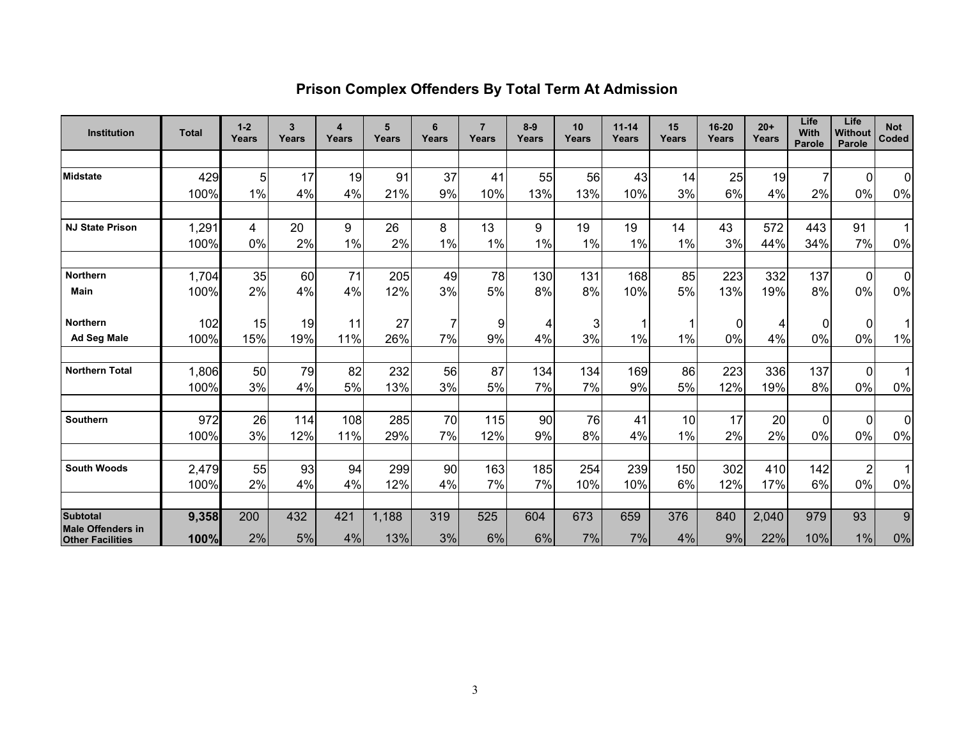| <b>Institution</b>       | <b>Total</b> | $1 - 2$<br>Years | 3<br>Years | 4<br>Years | 5<br><b>Years</b> | 6<br>Years | $\overline{7}$<br>Years | $8-9$<br>Years | 10<br>Years | $11 - 14$<br>Years | 15<br>Years | 16-20<br>Years | $20+$<br>Years | Life<br>With<br>Parole | Life<br>Without<br>Parole | <b>Not</b><br>Coded      |
|--------------------------|--------------|------------------|------------|------------|-------------------|------------|-------------------------|----------------|-------------|--------------------|-------------|----------------|----------------|------------------------|---------------------------|--------------------------|
|                          |              |                  |            |            |                   |            |                         |                |             |                    |             |                |                |                        |                           |                          |
| <b>Midstate</b>          | 429          | 5 <sub>1</sub>   | 17         | 19         | 91                | 37         | 41                      | 55             | 56          | 43                 | 14          | 25             | 19             | 7                      | $\Omega$                  | $\mathbf 0$              |
|                          | 100%         | 1%               | 4%         | 4%         | 21%               | 9%         | 10%                     | 13%            | 13%         | 10%                | 3%          | 6%             | 4%             | 2%                     | 0%                        | $0\%$                    |
|                          |              |                  |            |            |                   |            |                         |                |             |                    |             |                |                |                        |                           |                          |
| <b>NJ State Prison</b>   | 1,291        | 4                | 20         | 9          | 26                | 8          | 13                      | 9              | 19          | 19                 | 14          | 43             | 572            | 443                    | 91                        | $\mathbf{1}$             |
|                          | 100%         | 0%               | 2%         | $1\%$      | 2%                | 1%         | 1%                      | 1%             | 1%          | 1%                 | 1%          | 3%             | 44%            | 34%                    | 7%                        | $0\%$                    |
|                          |              |                  |            |            |                   |            |                         |                |             |                    |             |                |                |                        |                           |                          |
| Northern                 | 1,704        | 35               | 60         | 71         | 205               | 49         | 78                      | 130            | 131         | 168                | 85          | 223            | 332            | 137                    | $\overline{0}$            | $\pmb{0}$                |
| <b>Main</b>              | 100%         | 2%               | 4%         | 4%         | 12%               | 3%         | 5%                      | 8%             | 8%          | 10%                | 5%          | 13%            | 19%            | 8%                     | $0\%$                     | $0\%$                    |
|                          |              |                  |            |            |                   |            |                         |                |             |                    |             |                |                |                        |                           |                          |
| <b>Northern</b>          | 102          | 15               | 19         | 11         | 27                |            | 9                       | 4              | 3           |                    |             | 0              | 4              | 0                      | $\Omega$                  | 1                        |
| Ad Seg Male              | 100%         | 15%              | 19%        | 11%        | 26%               | 7%         | 9%                      | 4%             | 3%          | 1%                 | 1%          | 0%             | 4%             | 0%                     | $0\%$                     | $1\%$                    |
|                          |              |                  |            |            |                   |            |                         |                |             |                    |             |                |                |                        |                           |                          |
| <b>Northern Total</b>    | 1,806        | 50               | 79         | 82         | 232               | 56         | 87                      | 134            | 134         | 169                | 86          | 223            | 336            | 137                    | $\overline{0}$            | $\mathbf 1$              |
|                          | 100%         | 3%               | 4%         | 5%         | 13%               | 3%         | 5%                      | 7%             | 7%          | 9%                 | 5%          | 12%            | 19%            | 8%                     | 0%                        | $0\%$                    |
|                          |              |                  |            |            |                   |            |                         |                |             |                    |             |                |                |                        |                           |                          |
| <b>Southern</b>          | 972          | 26               | 114        | 108        | 285               | 70         | 115                     | 90             | 76          | 41                 | 10          | 17             | 20             | 0                      | $\Omega$                  | $\mathbf 0$              |
|                          | 100%         | 3%               | 12%        | 11%        | 29%               | 7%         | 12%                     | 9%             | 8%          | 4%                 | 1%          | 2%             | 2%             | 0%                     | 0%                        | $0\%$                    |
|                          |              |                  |            |            |                   |            |                         |                |             |                    |             |                |                |                        |                           |                          |
| <b>South Woods</b>       | 2,479        | 55               | 93         | 94         | 299               | 90         | 163                     | 185            | 254         | 239                | 150         | 302            | 410            | 142                    | $\overline{c}$            | $\overline{\phantom{a}}$ |
|                          | 100%         | 2%               | 4%         | 4%         | 12%               | 4%         | 7%                      | 7%             | 10%         | 10%                | 6%          | 12%            | 17%            | 6%                     | 0%                        | $0\%$                    |
| <b>Subtotal</b>          | 9,358        | 200              | 432        | 421        | 1,188             | 319        | 525                     | 604            | 673         | 659                | 376         | 840            | 2,040          | 979                    | 93                        | $\overline{9}$           |
| <b>Male Offenders in</b> |              |                  |            |            |                   |            |                         |                |             |                    |             |                |                |                        |                           |                          |
| <b>Other Facilities</b>  | 100%         | 2%               | 5%         | 4%         | 13%               | 3%         | 6%                      | 6%             | 7%          | 7%                 | 4%          | 9%             | 22%            | 10%                    | $1\%$                     | 0%                       |

# **Prison Complex Offenders By Total Term At Admission**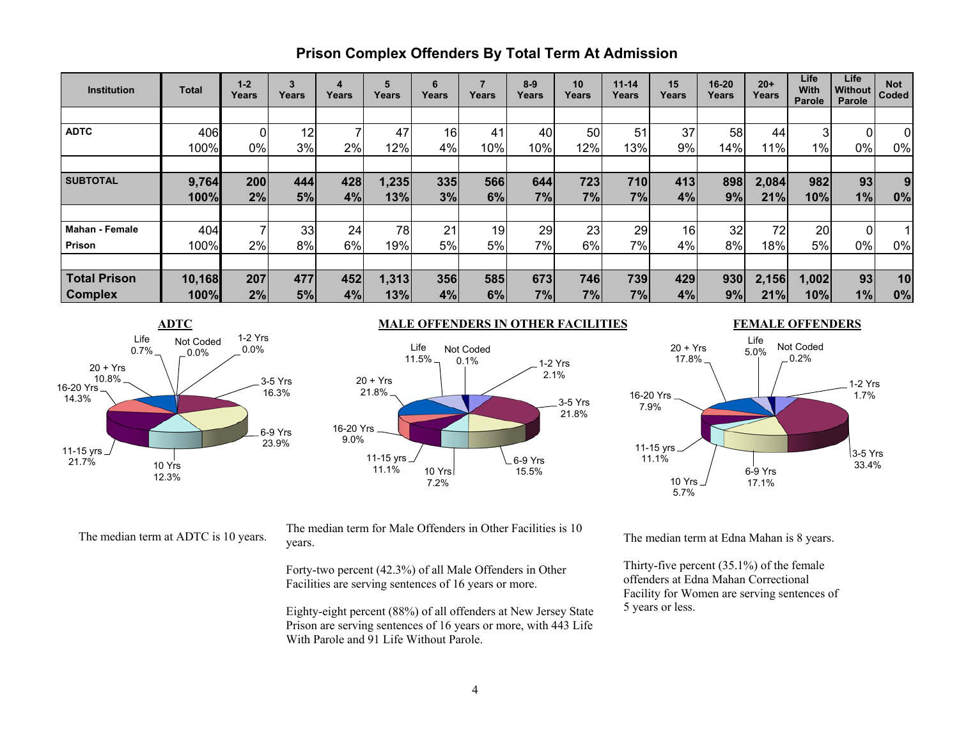## **Prison Complex Offenders By Total Term At Admission**

| <b>Institution</b>    | Total  | $1 - 2$<br>Years | 3<br>Years | 4<br>Years | 5<br>Years | 6<br>Years | Years | $8-9$<br>Years | 10<br>Years | $11 - 14$<br>Years | 15<br>Years     | 16-20<br>Years | $20+$<br>Years | Life<br><b>With</b><br>Parole | Life<br>Without<br>Parole | <b>Not</b><br>Coded |
|-----------------------|--------|------------------|------------|------------|------------|------------|-------|----------------|-------------|--------------------|-----------------|----------------|----------------|-------------------------------|---------------------------|---------------------|
|                       |        |                  |            |            |            |            |       |                |             |                    |                 |                |                |                               |                           |                     |
| <b>ADTC</b>           | 406    |                  | 12         |            | 47         | 16         | 41    | 40             | 50          | 51                 | 37              | 58             | 44             | 3                             | 01                        | $\Omega$            |
|                       | 100%   | 0%               | 3%         | 2%         | 12%        | 4%         | 10%   | 10%            | 12%         | 13%                | 9%              | 14%            | 1%             | 1%                            | 0%                        | 0%                  |
|                       |        |                  |            |            |            |            |       |                |             |                    |                 |                |                |                               |                           |                     |
| <b>SUBTOTAL</b>       | 9,764  | 200              | 444        | 428        | 1,235      | 335        | 566   | 644            | 723         | 710                | 413             | 898            | 2,084          | 982                           | 93                        | 9                   |
|                       | 100%   | 2%               | 5%         | 4%         | 13%        | 3%         | 6%    | 7%             | 7%          | 7%                 | 4%              | 9%             | 21%            | 10%                           | 1%                        | 0%                  |
|                       |        |                  |            |            |            |            |       |                |             |                    |                 |                |                |                               |                           |                     |
| <b>Mahan - Female</b> | 404    |                  | 33         | 24         | 78         | 21         | 19    | 29             | 23          | 29                 | 16 <sub>1</sub> | 32             | 72             | 20                            | ΩI                        |                     |
| Prison                | 100%   | 2%               | 8%         | 6%         | 19%        | 5%         | 5%    | 7%l            | 6%          | 7%                 | 4%              | 8%             | 18%            | 5%                            | 0%                        | 0%                  |
|                       |        |                  |            |            |            |            |       |                |             |                    |                 |                |                |                               |                           |                     |
| <b>Total Prison</b>   | 10,168 | 207              | 477        | 452        | 1,313      | 356        | 585   | 673            | 746         | 739                | 429             | 930            | 2,156          | 1,002                         | 93                        | 10                  |
| <b>Complex</b>        | 100%   | 2%               | 5%         | 4%         | 13%        | 4%         | 6%    | 7%             | 7%          | 7%                 | 4%              | 9%             | 21%            | 10%                           | 1%                        | 0%                  |



#### **ADTC** MALE OFFENDERS IN OTHER FACILITIES



#### **FEMALE OFFENDERS**



The median term at ADTC is 10 years. The median term for Male Offenders in Other Facilities is 10 years.

Forty-two percent (42.3%) of all Male Offenders in Other Facilities are serving sentences of 16 years or more.

Eighty-eight percent (88%) of all offenders at New Jersey State Prison are serving sentences of 16 years or more, with 443 Life With Parole and 91 Life Without Parole.

The median term at Edna Mahan is 8 years.

Thirty-five percent (35.1%) of the female offenders at Edna Mahan Correctional Facility for Women are serving sentences of 5 years or less.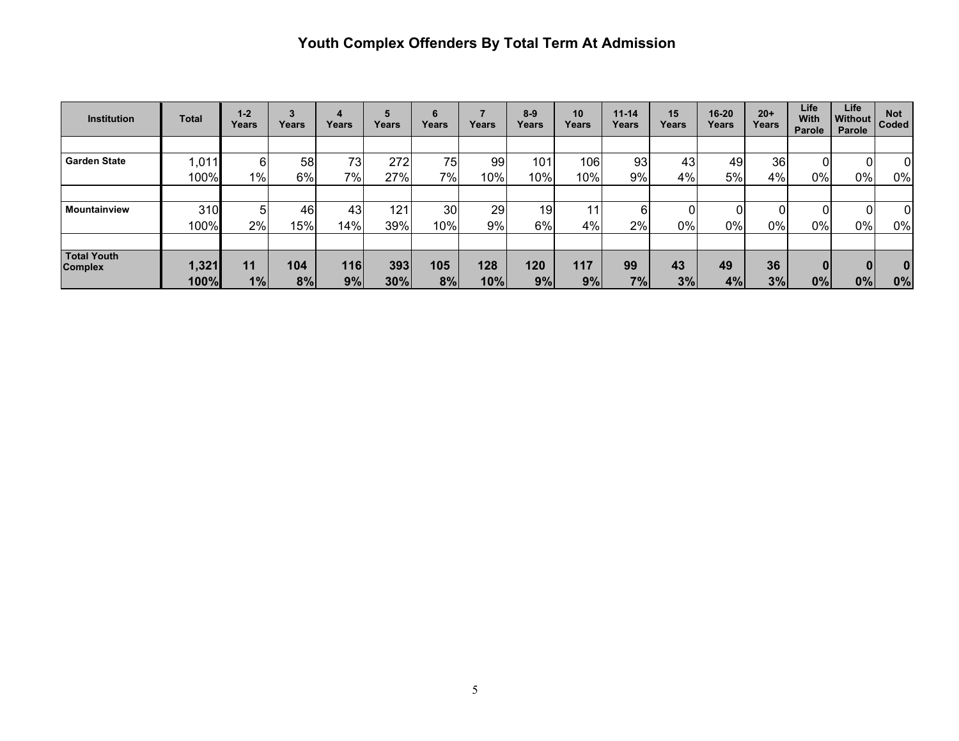# **Youth Complex Offenders By Total Term At Admission**

| <b>Institution</b>                   | Total | $1 - 2$<br>Years | 3<br>Years | 4<br>Years | 5<br>Years | 6<br>Years | Years | $8 - 9$<br>Years | 10<br>Years | $11 - 14$<br>Years | 15<br>Years | $16 - 20$<br>Years | $20+$<br>Years | Life<br><b>With</b><br>Parole | Life<br><b>Without</b><br>Parole | <b>Not</b><br>Coded |
|--------------------------------------|-------|------------------|------------|------------|------------|------------|-------|------------------|-------------|--------------------|-------------|--------------------|----------------|-------------------------------|----------------------------------|---------------------|
|                                      |       |                  |            |            |            |            |       |                  |             |                    |             |                    |                |                               |                                  |                     |
| <b>Garden State</b>                  | ,011  | 6                | 58         | 73         | 272        | 75         | 99    | 101              | 106         | 93                 | 43          | 49                 | 36             |                               |                                  |                     |
|                                      | 100%  | 1%               | 6%         | $7\%$      | 27%        | 7%         | 10%   | 10%              | 10%         | 9%                 | 4%          | 5%                 | 4%             | 0%                            | 0%                               | $0\%$               |
|                                      |       |                  |            |            |            |            |       |                  |             |                    |             |                    |                |                               |                                  |                     |
| <b>Mountainview</b>                  | 310   | 51               | 46         | 43         | 121        | 30         | 29    | 19               |             | 61                 |             | 0                  |                |                               |                                  | 0                   |
|                                      | 100%  | $2\%$            | 15%        | 14%        | 39%        | 10%        | 9%    | 6%               | 4%          | 2%                 | 0%          | 0%                 | 0%             | 0%                            | 0%                               | 0%                  |
|                                      |       |                  |            |            |            |            |       |                  |             |                    |             |                    |                |                               |                                  |                     |
| <b>Total Youth</b><br><b>Complex</b> | 1,321 | 11               | 104        | 116        | 393        | 105        | 128   | 120              | 117         | 99                 | 43          | 49                 | 36             | 0                             |                                  | $\bf{0}$            |
|                                      | 100%  | 1%               | 8%         | 9%         | 30%        | 8%         | 10%   | 9%               | 9%          | 7%                 | 3%          | 4%                 | 3%             | 0%                            | 0%                               | 0%                  |